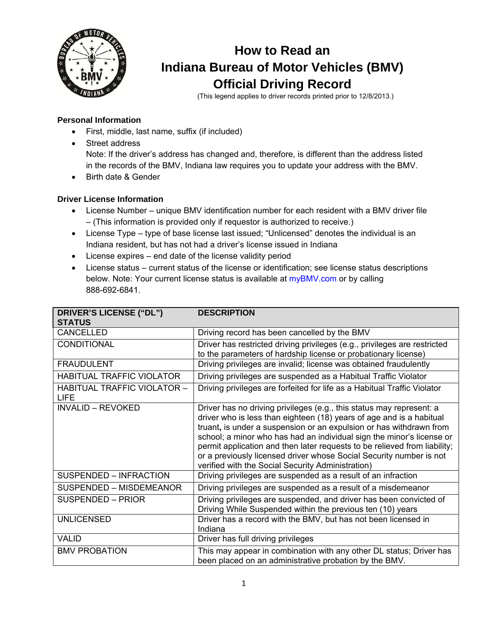

# **How to Read an Indiana Bureau of Motor Vehicles (BMV) Official Driving Record**

 (This legend applies to driver records printed prior to 12/8/2013.)

## **Personal Information**

- First, middle, last name, suffix (if included)
- Street address Note: If the driver's address has changed and, therefore, is different than the address listed in the records of the BMV, Indiana law requires you to update your address with the BMV.
- Birth date & Gender

## **Driver License Information**

- License Number unique BMV identification number for each resident with a BMV driver file – (This information is provided only if requestor is authorized to receive.)
- License Type type of base license last issued; "Unlicensed" denotes the individual is an Indiana resident, but has not had a driver's license issued in Indiana
- License expires end date of the license validity period
- License status current status of the license or identification; see license status descriptions below. Note: Your current license status is available at [myBMV.com](www.mybmv.com) or by calling 888-692-6841.

| <b>DRIVER'S LICENSE ("DL")</b><br><b>STATUS</b>    | <b>DESCRIPTION</b>                                                                                                                                                                                                                                                                                                                                                                                                                                                                                                                                                     |
|----------------------------------------------------|------------------------------------------------------------------------------------------------------------------------------------------------------------------------------------------------------------------------------------------------------------------------------------------------------------------------------------------------------------------------------------------------------------------------------------------------------------------------------------------------------------------------------------------------------------------------|
| <b>CANCELLED</b>                                   | Driving record has been cancelled by the BMV                                                                                                                                                                                                                                                                                                                                                                                                                                                                                                                           |
| <b>CONDITIONAL</b>                                 | Driver has restricted driving privileges (e.g., privileges are restricted<br>to the parameters of hardship license or probationary license)                                                                                                                                                                                                                                                                                                                                                                                                                            |
| <b>FRAUDULENT</b>                                  | Driving privileges are invalid; license was obtained fraudulently                                                                                                                                                                                                                                                                                                                                                                                                                                                                                                      |
| <b>HABITUAL TRAFFIC VIOLATOR</b>                   | Driving privileges are suspended as a Habitual Traffic Violator                                                                                                                                                                                                                                                                                                                                                                                                                                                                                                        |
| HABITUAL TRAFFIC VIOLATOR -<br><b>LIFE</b>         | Driving privileges are forfeited for life as a Habitual Traffic Violator                                                                                                                                                                                                                                                                                                                                                                                                                                                                                               |
| <b>INVALID - REVOKED</b><br>SUSPENDED - INFRACTION | Driver has no driving privileges (e.g., this status may represent: a<br>driver who is less than eighteen (18) years of age and is a habitual<br>truant, is under a suspension or an expulsion or has withdrawn from<br>school; a minor who has had an individual sign the minor's license or<br>permit application and then later requests to be relieved from liability;<br>or a previously licensed driver whose Social Security number is not<br>verified with the Social Security Administration)<br>Driving privileges are suspended as a result of an infraction |
| SUSPENDED - MISDEMEANOR                            | Driving privileges are suspended as a result of a misdemeanor                                                                                                                                                                                                                                                                                                                                                                                                                                                                                                          |
| SUSPENDED - PRIOR                                  | Driving privileges are suspended, and driver has been convicted of<br>Driving While Suspended within the previous ten (10) years                                                                                                                                                                                                                                                                                                                                                                                                                                       |
| <b>UNLICENSED</b>                                  | Driver has a record with the BMV, but has not been licensed in<br>Indiana                                                                                                                                                                                                                                                                                                                                                                                                                                                                                              |
| <b>VALID</b>                                       | Driver has full driving privileges                                                                                                                                                                                                                                                                                                                                                                                                                                                                                                                                     |
| <b>BMV PROBATION</b>                               | This may appear in combination with any other DL status; Driver has<br>been placed on an administrative probation by the BMV.                                                                                                                                                                                                                                                                                                                                                                                                                                          |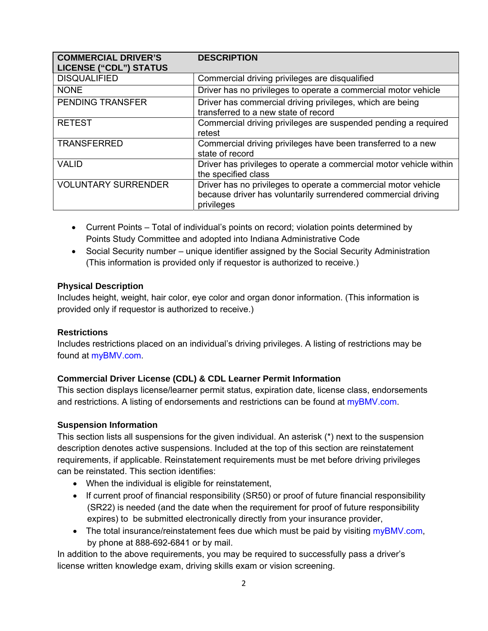| <b>COMMERCIAL DRIVER'S</b><br><b>LICENSE ("CDL") STATUS</b> | <b>DESCRIPTION</b>                                                                                                                            |
|-------------------------------------------------------------|-----------------------------------------------------------------------------------------------------------------------------------------------|
| <b>DISQUALIFIED</b>                                         | Commercial driving privileges are disqualified                                                                                                |
| <b>NONE</b>                                                 | Driver has no privileges to operate a commercial motor vehicle                                                                                |
| <b>PENDING TRANSFER</b>                                     | Driver has commercial driving privileges, which are being<br>transferred to a new state of record                                             |
| <b>RETEST</b>                                               | Commercial driving privileges are suspended pending a required<br>retest                                                                      |
| <b>TRANSFERRED</b>                                          | Commercial driving privileges have been transferred to a new<br>state of record                                                               |
| <b>VALID</b>                                                | Driver has privileges to operate a commercial motor vehicle within<br>the specified class                                                     |
| <b>VOLUNTARY SURRENDER</b>                                  | Driver has no privileges to operate a commercial motor vehicle<br>because driver has voluntarily surrendered commercial driving<br>privileges |

- Current Points Total of individual's points on record; violation points determined by Points Study Committee and adopted into Indiana Administrative Code
- Social Security number unique identifier assigned by the Social Security Administration (This information is provided only if requestor is authorized to receive.)

## **Physical Description**

Includes height, weight, hair color, eye color and organ donor information. (This information is provided only if requestor is authorized to receive.)

## **Restrictions**

Includes restrictions placed on an individual's driving privileges. A listing of restrictions may be found at [myBMV.com](www.mybmv.com).

# **Commercial Driver License (CDL) & CDL Learner Permit Information**

This section displays license/learner permit status, expiration date, license class, endorsements and restrictions. A listing of endorsements and restrictions can be found at [myBMV.com](www.mybmv.com).

# **Suspension Information**

This section lists all suspensions for the given individual. An asterisk (\*) next to the suspension description denotes active suspensions. Included at the top of this section are reinstatement requirements, if applicable. Reinstatement requirements must be met before driving privileges can be reinstated. This section identifies:

- When the individual is eligible for reinstatement,
- If current proof of financial responsibility (SR50) or proof of future financial responsibility (SR22) is needed (and the date when the requirement for proof of future responsibility expires) to be submitted electronically directly from your insurance provider,
- The total insurance/reinstatement fees due which must be paid by visiting [myBMV.com,](www.mybmv.com) by phone at 888-692-6841 or by mail.

In addition to the above requirements, you may be required to successfully pass a driver's license written knowledge exam, driving skills exam or vision screening.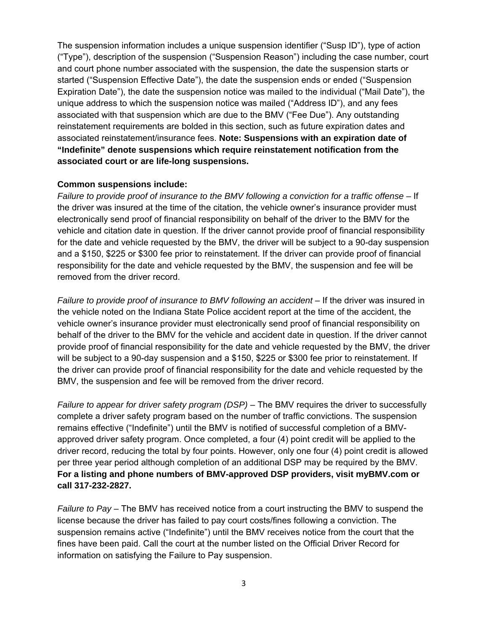The suspension information includes a unique suspension identifier ("Susp ID"), type of action ("Type"), description of the suspension ("Suspension Reason") including the case number, court and court phone number associated with the suspension, the date the suspension starts or started ("Suspension Effective Date"), the date the suspension ends or ended ("Suspension Expiration Date"), the date the suspension notice was mailed to the individual ("Mail Date"), the unique address to which the suspension notice was mailed ("Address ID"), and any fees associated with that suspension which are due to the BMV ("Fee Due"). Any outstanding reinstatement requirements are bolded in this section, such as future expiration dates and associated reinstatement/insurance fees. **Note: Suspensions with an expiration date of "Indefinite" denote suspensions which require reinstatement notification from the associated court or are life-long suspensions.**

#### **Common suspensions include:**

*Failure to provide proof of insurance to the BMV following a conviction for a traffic offense –* If the driver was insured at the time of the citation, the vehicle owner's insurance provider must electronically send proof of financial responsibility on behalf of the driver to the BMV for the vehicle and citation date in question. If the driver cannot provide proof of financial responsibility for the date and vehicle requested by the BMV, the driver will be subject to a 90-day suspension and a \$150, \$225 or \$300 fee prior to reinstatement. If the driver can provide proof of financial responsibility for the date and vehicle requested by the BMV, the suspension and fee will be removed from the driver record.

*Failure to provide proof of insurance to BMV following an accident* – If the driver was insured in the vehicle noted on the Indiana State Police accident report at the time of the accident, the vehicle owner's insurance provider must electronically send proof of financial responsibility on behalf of the driver to the BMV for the vehicle and accident date in question. If the driver cannot provide proof of financial responsibility for the date and vehicle requested by the BMV, the driver will be subject to a 90-day suspension and a \$150, \$225 or \$300 fee prior to reinstatement. If the driver can provide proof of financial responsibility for the date and vehicle requested by the BMV, the suspension and fee will be removed from the driver record.

*Failure to appear for driver safety program (DSP)* – The BMV requires the driver to successfully complete a driver safety program based on the number of traffic convictions. The suspension remains effective ("Indefinite") until the BMV is notified of successful completion of a BMVapproved driver safety program. Once completed, a four (4) point credit will be applied to the driver record, reducing the total by four points. However, only one four (4) point credit is allowed per three year period although completion of an additional DSP may be required by the BMV. **For a listing and phone numbers of BMV-approved DSP providers, visit [myBMV.](www.mybmv.com)com or call 317-232-2827.**

*Failure to Pay* – The BMV has received notice from a court instructing the BMV to suspend the license because the driver has failed to pay court costs/fines following a conviction. The suspension remains active ("Indefinite") until the BMV receives notice from the court that the fines have been paid. Call the court at the number listed on the Official Driver Record for information on satisfying the Failure to Pay suspension.